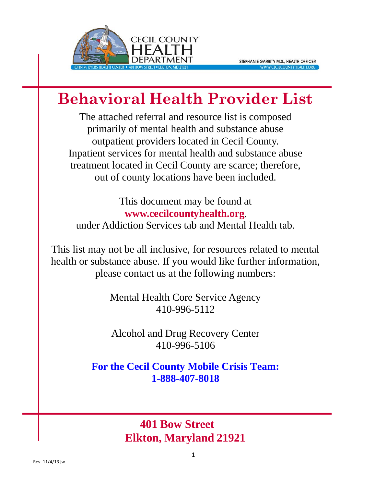

# **Behavioral Health Provider List**

The attached referral and resource list is composed primarily of mental health and substance abuse outpatient providers located in Cecil County. Inpatient services for mental health and substance abuse treatment located in Cecil County are scarce; therefore, out of county locations have been included.

This document may be found at **[www.cecilcountyhealth.org](http://www.cecilcountyhealth.org/)**, under Addiction Services tab and Mental Health tab.

This list may not be all inclusive, for resources related to mental health or substance abuse. If you would like further information, please contact us at the following numbers:

> Mental Health Core Service Agency 410-996-5112

Alcohol and Drug Recovery Center 410-996-5106

**For the Cecil County Mobile Crisis Team: 1-888-407-8018**

> **401 Bow Street Elkton, Maryland 21921**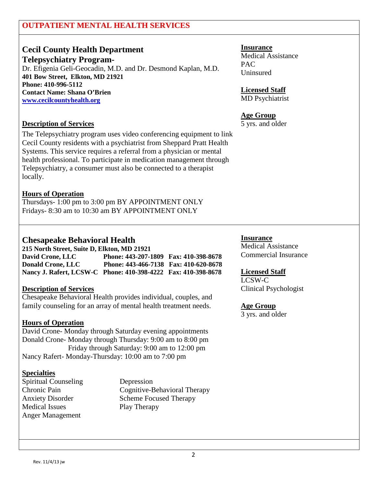### **OUTPATIENT MENTAL HEALTH SERVICES**

# **Cecil County Health Department**

**Telepsychiatry Program-** Dr. Efigenia Geli-Geocadin, M.D. and Dr. Desmond Kaplan, M.D. **401 Bow Street, Elkton, MD 21921 Phone: 410-996-5112 Contact Name: Shana O'Brien [www.cecilcountyhealth.org](http://www.cecilcountyhealth.org/)**

#### **Description of Services**

The Telepsychiatry program uses video conferencing equipment to link Cecil County residents with a psychiatrist from Sheppard Pratt Health Systems. This service requires a referral from a physician or mental health professional. To participate in medication management through Telepsychiatry, a consumer must also be connected to a therapist locally.

#### **Hours of Operation**

Thursdays- 1:00 pm to 3:00 pm BY APPOINTMENT ONLY Fridays- 8:30 am to 10:30 am BY APPOINTMENT ONLY

### **Chesapeake Behavioral Health**

**215 North Street, Suite D, Elkton, MD 21921 David Crone, LLC Phone: 443-207-1809 Fax: 410-398-8678 Donald Crone, LLC Phone: 443-466-7138 Fax: 410-620-8678 Nancy J. Rafert, LCSW-C Phone: 410-398-4222 Fax: 410-398-8678**

#### **Description of Services**

Chesapeake Behavioral Health provides individual, couples, and family counseling for an array of mental health treatment needs.

#### **Hours of Operation**

David Crone- Monday through Saturday evening appointments Donald Crone- Monday through Thursday: 9:00 am to 8:00 pm Friday through Saturday: 9:00 am to 12:00 pm Nancy Rafert- Monday-Thursday: 10:00 am to 7:00 pm

#### **Specialties**

Spiritual Counseling Depression Medical Issues Play Therapy Anger Management

Chronic Pain Cognitive-Behavioral Therapy Anxiety Disorder Scheme Focused Therapy

#### **Insurance**

Medical Assistance PAC Uninsured

**Licensed Staff** MD Psychiatrist

#### **Age Group**

5 yrs. and older

#### **Insurance**

Medical Assistance Commercial Insurance

#### **Licensed Staff**

LCSW-C Clinical Psychologist

#### **Age Group**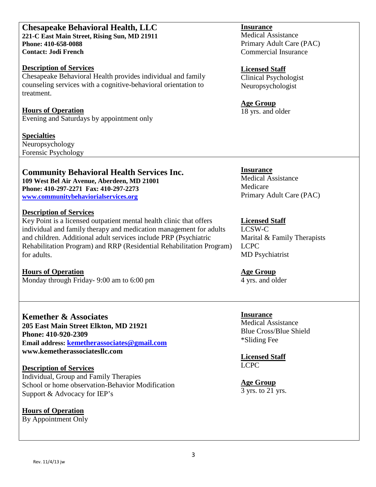#### **Chesapeake Behavioral Health, LLC 221-C East Main Street, Rising Sun, MD 21911 Phone: 410-658-0088 Contact: Jodi French**

#### **Description of Services**

Chesapeake Behavioral Health provides individual and family counseling services with a cognitive-behavioral orientation to treatment.

**Hours of Operation** Evening and Saturdays by appointment only

#### **Specialties**

Neuropsychology Forensic Psychology

### **Community Behavioral Health Services Inc.**

**109 West Bel Air Avenue, Aberdeen, MD 21001 Phone: 410-297-2271 Fax: 410-297-2273 [www.communitybehaviorialservices.org](http://www.communitybehaviorialservices.org/)**

#### **Description of Services**

Key Point is a licensed outpatient mental health clinic that offers individual and family therapy and medication management for adults and children. Additional adult services include PRP (Psychiatric Rehabilitation Program) and RRP (Residential Rehabilitation Program) for adults.

**Hours of Operation** Monday through Friday- 9:00 am to 6:00 pm

**Kemether & Associates 205 East Main Street Elkton, MD 21921 Phone: 410-920-2309 Email address: [kemetherassociates@gmail.com](mailto:kemetherassociates@gmail.com) www.kemetherassociatesllc.com**

### **Description of Services**

Individual, Group and Family Therapies School or home observation-Behavior Modification Support & Advocacy for IEP's

### **Hours of Operation**

By Appointment Only

#### **Insurance**

Medical Assistance Primary Adult Care (PAC) Commercial Insurance

#### **Licensed Staff**

Clinical Psychologist Neuropsychologist

### **Age Group**

18 yrs. and older

### **Insurance**

Medical Assistance Medicare Primary Adult Care (PAC)

### **Licensed Staff**

LCSW-C Marital & Family Therapists LCPC MD Psychiatrist

#### **Age Group**

4 yrs. and older

#### **Insurance** Medical Assistance

Blue Cross/Blue Shield \*Sliding Fee

**Licensed Staff** LCPC

**Age Group** 3 yrs. to 21 yrs.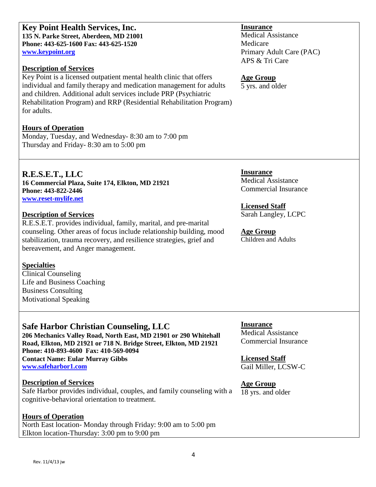Rev. 11/4/13 jw

**Key Point Health Services, Inc. 135 N. Parke Street, Aberdeen, MD 21001 Phone: 443-625-1600 Fax: 443-625-1520 [www.keypoint.org](http://www.keypoint.org/)**

#### **Description of Services**

Key Point is a licensed outpatient mental health clinic that offers individual and family therapy and medication management for adults and children. Additional adult services include PRP (Psychiatric Rehabilitation Program) and RRP (Residential Rehabilitation Program) for adults.

#### **Hours of Operation**

Monday, Tuesday, and Wednesday- 8:30 am to 7:00 pm Thursday and Friday- 8:30 am to 5:00 pm

**R.E.S.E.T., LLC 16 Commercial Plaza, Suite 174, Elkton, MD 21921 Phone: 443-822-2446 [www.reset-mylife.net](http://www.reset-mylife.net/)**

#### **Description of Services**

R.E.S.E.T. provides individual, family, marital, and pre-marital counseling. Other areas of focus include relationship building, mood stabilization, trauma recovery, and resilience strategies, grief and bereavement, and Anger management.

#### **Specialties**

Clinical Counseling Life and Business Coaching Business Consulting Motivational Speaking

### **Safe Harbor Christian Counseling, LLC**

**206 Mechanics Valley Road, North East, MD 21901 or 290 Whitehall Road, Elkton, MD 21921 or 718 N. Bridge Street, Elkton, MD 21921 Phone: 410-893-4600 Fax: 410-569-0094 Contact Name: Eular Murray Gibbs [www.safeharbor1.com](http://www.safeharbor1.com/)**

### **Description of Services**

Safe Harbor provides individual, couples, and family counseling with a cognitive-behavioral orientation to treatment.

### **Hours of Operation**

North East location- Monday through Friday: 9:00 am to 5:00 pm Elkton location-Thursday: 3:00 pm to 9:00 pm

#### **Insurance**

Medical Assistance Medicare Primary Adult Care (PAC) APS & Tri Care

#### **Age Group**

5 yrs. and older

**Insurance** Medical Assistance Commercial Insurance

### **Licensed Staff**

Sarah Langley, LCPC

#### **Age Group** Children and Adults

**Insurance** Medical Assistance Commercial Insurance

**Licensed Staff** Gail Miller, LCSW-C

### **Age Group**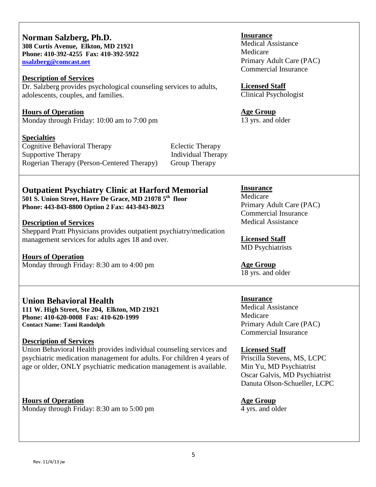| Norman Salzberg, Ph.D.<br>308 Curtis Avenue, Elkton, MD 21921<br>Phone: 410-392-4255 Fax: 410-392-5922<br>nsalzberg@comcast.net<br><b>Description of Services</b><br>Dr. Salzberg provides psychological counseling services to adults,<br>adolescents, couples, and families.<br><b>Hours of Operation</b>                                                                                                             | <b>Insurance</b><br><b>Medical Assistance</b><br>Medicare<br>Primary Adult Care (PAC)<br><b>Commercial Insurance</b><br><b>Licensed Staff</b><br><b>Clinical Psychologist</b><br><b>Age Group</b>                                                                        |
|-------------------------------------------------------------------------------------------------------------------------------------------------------------------------------------------------------------------------------------------------------------------------------------------------------------------------------------------------------------------------------------------------------------------------|--------------------------------------------------------------------------------------------------------------------------------------------------------------------------------------------------------------------------------------------------------------------------|
| Monday through Friday: 10:00 am to 7:00 pm<br><b>Specialties</b><br><b>Cognitive Behavioral Therapy</b><br><b>Eclectic Therapy</b><br><b>Supportive Therapy</b><br><b>Individual Therapy</b><br>Rogerian Therapy (Person-Centered Therapy)<br>Group Therapy                                                                                                                                                             | 13 yrs. and older                                                                                                                                                                                                                                                        |
| <b>Outpatient Psychiatry Clinic at Harford Memorial</b><br>501 S. Union Street, Havre De Grace, MD 21078 5 <sup>th</sup> floor<br>Phone: 443-843-8800 Option 2 Fax: 443-843-8023<br><b>Description of Services</b><br>Sheppard Pratt Physicians provides outpatient psychiatry/medication<br>management services for adults ages 18 and over.<br><b>Hours of Operation</b><br>Monday through Friday: 8:30 am to 4:00 pm | <b>Insurance</b><br>Medicare<br>Primary Adult Care (PAC)<br><b>Commercial Insurance</b><br><b>Medical Assistance</b><br><b>Licensed Staff</b><br><b>MD</b> Psychiatrists<br><b>Age Group</b><br>18 yrs. and older                                                        |
| <b>Union Behavioral Health</b><br>111 W. High Street, Ste 204, Elkton, MD 21921<br>Phone: 410-620-0008 Fax: 410-620-1999<br><b>Contact Name: Tami Randolph</b><br><b>Description of Services</b><br>Union Behavioral Health provides individual counseling services and<br>psychiatric medication management for adults. For children 4 years of<br>age or older, ONLY psychiatric medication management is available.  | <b>Insurance</b><br><b>Medical Assistance</b><br>Medicare<br>Primary Adult Care (PAC)<br><b>Commercial Insurance</b><br><b>Licensed Staff</b><br>Priscilla Stevens, MS, LCPC<br>Min Yu, MD Psychiatrist<br>Oscar Galvis, MD Psychiatrist<br>Danuta Olson-Schueller, LCPC |
| <b>Hours of Operation</b><br>Monday through Friday: 8:30 am to 5:00 pm                                                                                                                                                                                                                                                                                                                                                  | <b>Age Group</b><br>4 yrs. and older                                                                                                                                                                                                                                     |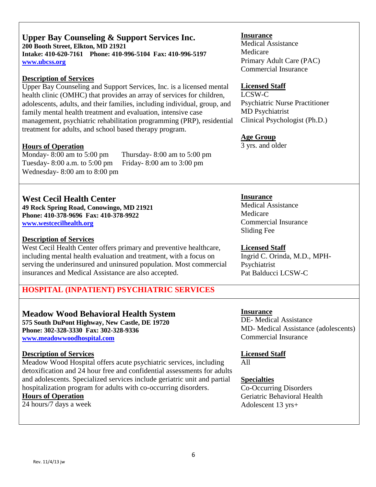#### **Upper Bay Counseling & Support Services Inc. 200 Booth Street, Elkton, MD 21921 Intake: 410-620-7161 Phone: 410-996-5104 Fax: 410-996-5197 [www.ubcss.org](http://www.ubcss.org/)**

#### **Description of Services**

Upper Bay Counseling and Support Services, Inc. is a licensed mental health clinic (OMHC) that provides an array of services for children. adolescents, adults, and their families, including individual, group, and family mental health treatment and evaluation, intensive case management, psychiatric rehabilitation programming (PRP), residential treatment for adults, and school based therapy program.

#### **Hours of Operation**

Monday- 8:00 am to 5:00 pm Thursday- 8:00 am to 5:00 pm Tuesday- 8:00 a.m. to 5:00 pm Friday- 8:00 am to 3:00 pm Wednesday- 8:00 am to 8:00 pm

### **West Cecil Health Center**

**49 Rock Spring Road, Conowingo, MD 21921 Phone: 410-378-9696 Fax: 410-378-9922 [www.westcecilhealth.org](http://www.westcecilhealth.org/)**

#### **Description of Services**

West Cecil Health Center offers primary and preventive healthcare, including mental health evaluation and treatment, with a focus on serving the underinsured and uninsured population. Most commercial insurances and Medical Assistance are also accepted.

### **HOSPITAL (INPATIENT) PSYCHIATRIC SERVICES**

#### **Meadow Wood Behavioral Health System 575 South DuPont Highway, New Castle, DE 19720**

**Phone: 302-328-3330 Fax: 302-328-9336 [www.meadowwoodhospital.com](http://www.meadowwoodhospital.com/)**

#### **Description of Services**

Meadow Wood Hospital offers acute psychiatric services, including detoxification and 24 hour free and confidential assessments for adults and adolescents. Specialized services include geriatric unit and partial hospitalization program for adults with co-occurring disorders.

### **Hours of Operation**

24 hours/7 days a week

#### **Insurance**

Medical Assistance Medicare Primary Adult Care (PAC) Commercial Insurance

#### **Licensed Staff**

LCSW-C Psychiatric Nurse Practitioner MD Psychiatrist Clinical Psychologist (Ph.D.)

#### **Age Group**

3 yrs. and older

#### **Insurance**

Medical Assistance Medicare Commercial Insurance Sliding Fee

#### **Licensed Staff**

Ingrid C. Orinda, M.D., MPH-Psychiatrist Pat Balducci LCSW-C

#### **Insurance**

DE- Medical Assistance MD- Medical Assistance (adolescents) Commercial Insurance

#### **Licensed Staff** All

#### **Specialties**

Co-Occurring Disorders Geriatric Behavioral Health Adolescent 13 yrs+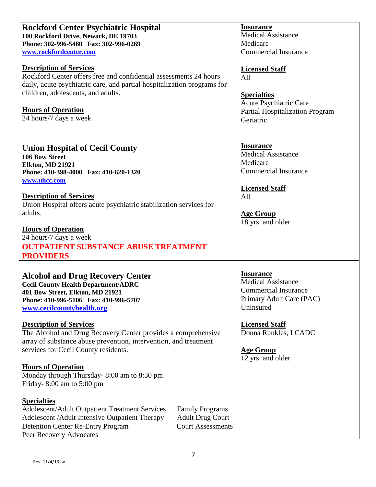## **Phone: 302-996-5480 Fax: 302-996-0269 [www.rockfordcenter.com](http://www.rockfordcenter.com/) Description of Services**

**100 Rockford Drive, Newark, DE 19703**

**Rockford Center Psychiatric Hospital**

Rockford Center offers free and confidential assessments 24 hours daily, acute psychiatric care, and partial hospitalization programs for children, adolescents, and adults.

### **Hours of Operation**

24 hours/7 days a week

### **Union Hospital of Cecil County**

**106 Bow Street Elkton, MD 21921 Phone: 410-398-4000 Fax: 410-620-1320 [www.uhcc.com](http://www.uhcc.com/)**

### **Description of Services**

Union Hospital offers acute psychiatric stabilization services for adults.

### **Hours of Operation**

24 hours/7 days a week

**OUTPATIENT SUBSTANCE ABUSE TREATMENT PROVIDERS**

### **Alcohol and Drug Recovery Center**

**Cecil County Health Department/ADRC 401 Bow Street, Elkton, MD 21921 Phone: 410-996-5106 Fax: 410-996-5707 [www.cecilcountyhealth.org](http://www.cecilcountyhealth.org/)**

### **Description of Services**

The Alcohol and Drug Recovery Center provides a comprehensive array of substance abuse prevention, intervention, and treatment services for Cecil County residents.

### **Hours of Operation**

Monday through Thursday- 8:00 am to 8:30 pm Friday- 8:00 am to 5:00 pm

### **Specialties**

Adolescent/Adult Outpatient Treatment Services Family Programs Adolescent /Adult Intensive Outpatient Therapy Adult Drug Court Detention Center Re-Entry Program Court Assessments Peer Recovery Advocates

#### **Insurance**

Medical Assistance Medicare Commercial Insurance

#### **Licensed Staff** All

**Specialties** Acute Psychiatric Care Partial Hospitalization Program Geriatric

#### **Insurance**

Medical Assistance Medicare Commercial Insurance

**Licensed Staff** All

**Age Group** 18 yrs. and older

### **Insurance**

Medical Assistance Commercial Insurance Primary Adult Care (PAC) Uninsured

**Licensed Staff**

Donna Runkles, LCADC

### **Age Group**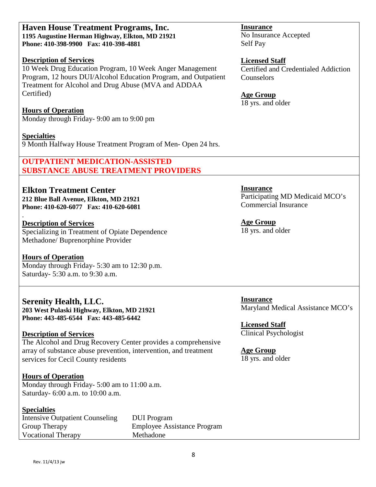#### **Haven House Treatment Programs, Inc. 1195 Augustine Herman Highway, Elkton, MD 21921 Phone: 410-398-9900 Fax: 410-398-4881**

#### **Description of Services**

10 Week Drug Education Program, 10 Week Anger Management Program, 12 hours DUI/Alcohol Education Program, and Outpatient Treatment for Alcohol and Drug Abuse (MVA and ADDAA Certified)

#### **Hours of Operation**

Monday through Friday- 9:00 am to 9:00 pm

#### **Specialties**

.

9 Month Halfway House Treatment Program of Men- Open 24 hrs.

### **OUTPATIENT MEDICATION-ASSISTED SUBSTANCE ABUSE TREATMENT PROVIDERS**

# **Elkton Treatment Center**

**212 Blue Ball Avenue, Elkton, MD 21921 Phone: 410-620-6077 Fax: 410-620-6081**

#### **Description of Services**

Specializing in Treatment of Opiate Dependence Methadone/ Buprenorphine Provider

#### **Hours of Operation**

Monday through Friday- 5:30 am to 12:30 p.m. Saturday- 5:30 a.m. to 9:30 a.m.

### **Serenity Health, LLC.**

**203 West Pulaski Highway, Elkton, MD 21921 Phone: 443-485-6544 Fax: 443-485-6442**

#### **Description of Services**

The Alcohol and Drug Recovery Center provides a comprehensive array of substance abuse prevention, intervention, and treatment services for Cecil County residents

#### **Hours of Operation**

Monday through Friday- 5:00 am to 11:00 a.m. Saturday- 6:00 a.m. to 10:00 a.m.

#### **Specialties**

Intensive Outpatient Counseling DUI Program Group Therapy Employee Assistance Program Vocational Therapy Methadone

**Insurance** No Insurance Accepted Self Pay

#### **Licensed Staff** Certified and Credentialed Addiction Counselors

**Age Group** 18 yrs. and older

**Insurance** Participating MD Medicaid MCO's Commercial Insurance

#### **Age Group** 18 yrs. and older

**Insurance** Maryland Medical Assistance MCO's

**Licensed Staff** Clinical Psychologist

### **Age Group**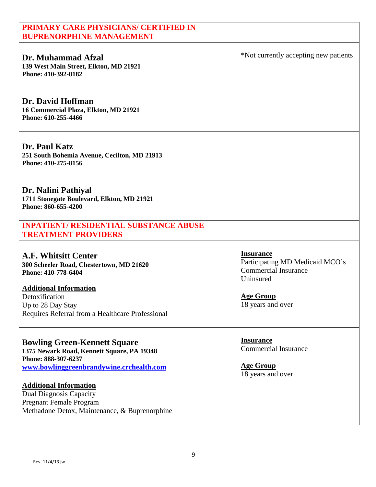### **PRIMARY CARE PHYSICIANS/ CERTIFIED IN BUPRENORPHINE MANAGEMENT**

### **Dr. Muhammad Afzal**

**139 West Main Street, Elkton, MD 21921 Phone: 410-392-8182**

### **Dr. David Hoffman**

**16 Commercial Plaza, Elkton, MD 21921 Phone: 610-255-4466**

#### **Dr. Paul Katz 251 South Bohemia Avenue, Cecilton, MD 21913 Phone: 410-275-8156**

**Dr. Nalini Pathiyal 1711 Stonegate Boulevard, Elkton, MD 21921 Phone: 860-655-4200**

**INPATIENT/ RESIDENTIAL SUBSTANCE ABUSE TREATMENT PROVIDERS**

**A.F. Whitsitt Center 300 Scheeler Road, Chestertown, MD 21620 Phone: 410-778-6404**

#### **Additional Information** Detoxification Up to 28 Day Stay Requires Referral from a Healthcare Professional

# **Bowling Green-Kennett Square**

**1375 Newark Road, Kennett Square, PA 19348 Phone: 888-307-6237 [www.bowlinggreenbrandywine.crchealth.com](http://www.bowlinggreenbrandywine.crchealth.com/)**

### **Additional Information**

Dual Diagnosis Capacity Pregnant Female Program Methadone Detox, Maintenance, & Buprenorphine **Insurance**

Participating MD Medicaid MCO's Commercial Insurance Uninsured

**Age Group** 18 years and over

**Insurance** Commercial Insurance

**Age Group** 18 years and over

Rev. 11/4/13 jw

\*Not currently accepting new patients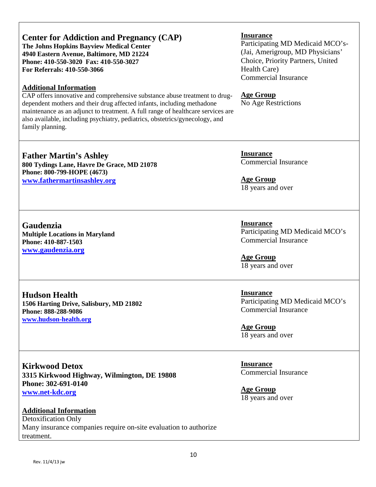# **Center for Addiction and Pregnancy (CAP)**

**The Johns Hopkins Bayview Medical Center 4940 Eastern Avenue, Baltimore, MD 21224 Phone: 410-550-3020 Fax: 410-550-3027 For Referrals: 410-550-3066**

### **Additional Information**

CAP offers innovative and comprehensive substance abuse treatment to drugdependent mothers and their drug affected infants, including methadone maintenance as an adjunct to treatment. A full range of healthcare services are also available, including psychiatry, pediatrics, obstetrics/gynecology, and family planning.

### **Age Group**

**Insurance**

Health Care)

No Age Restrictions

Commercial Insurance

Participating MD Medicaid MCO's- (Jai, Amerigroup, MD Physicians' Choice, Priority Partners, United

**Father Martin's Ashley 800 Tydings Lane, Havre De Grace, MD 21078 Phone: 800-799-HOPE (4673) [www.fathermartinsashley.org](http://www.fathermartinsashley.org/)**

**Gaudenzia Multiple Locations in Maryland Phone: 410-887-1503 [www.gaudenzia.org](http://www.gaudenzia.org/)**

**Hudson Health 1506 Harting Drive, Salisbury, MD 21802 Phone: 888-288-9086 [www.hudson-health.org](http://www.hudson-health.org/)**

**Kirkwood Detox 3315 Kirkwood Highway, Wilmington, DE 19808 Phone: 302-691-0140 [www.net-kdc.org](http://www.net-kdc.org/)**

#### **Additional Information** Detoxification Only Many insurance companies require on-site evaluation to authorize treatment.

**Insurance** Commercial Insurance

**Age Group** 18 years and over

**Insurance** Participating MD Medicaid MCO's Commercial Insurance

**Age Group** 18 years and over

**Insurance** Participating MD Medicaid MCO's Commercial Insurance

**Age Group** 18 years and over

**Insurance** Commercial Insurance

**Age Group** 18 years and over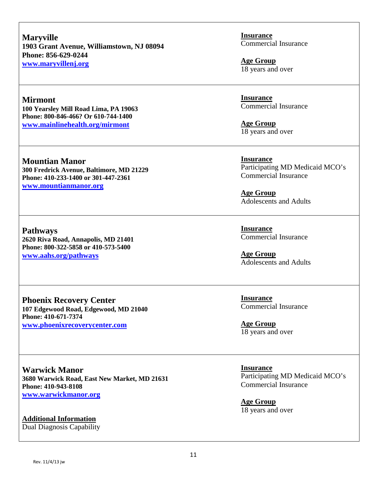**Maryville 1903 Grant Avenue, Williamstown, NJ 08094 Phone: 856-629-0244 [www.maryvillenj.org](http://www.maryvillenj.org/)**

### **Mirmont**

**100 Yearsley Mill Road Lima, PA 19063 Phone: 800-846-466? Or 610-744-1400 [www.mainlinehealth.org/mirmont](http://www.mainlinehealth.org/mirmont)**

**Mountian Manor 300 Fredrick Avenue, Baltimore, MD 21229 Phone: 410-233-1400 or 301-447-2361 [www.mountianmanor.org](http://www.mountianmanor.org/)**

**Pathways 2620 Riva Road, Annapolis, MD 21401 Phone: 800-322-5858 or 410-573-5400 [www.aahs.org/pathways](http://www.aahs.org/pathways)**

**Phoenix Recovery Center 107 Edgewood Road, Edgewood, MD 21040 Phone: 410-671-7374 [www.phoenixrecoverycenter.com](http://www.phoenixrecoverycenter.com/)**

**Warwick Manor 3680 Warwick Road, East New Market, MD 21631 Phone: 410-943-8108 [www.warwickmanor.org](http://www.warwickmanor.org/)**

**Additional Information** Dual Diagnosis Capability **Insurance** Commercial Insurance

**Age Group** 18 years and over

**Insurance** Commercial Insurance

**Age Group** 18 years and over

**Insurance** Participating MD Medicaid MCO's Commercial Insurance

**Age Group** Adolescents and Adults

**Insurance** Commercial Insurance

**Age Group** Adolescents and Adults

**Insurance** Commercial Insurance

**Age Group** 18 years and over

**Insurance** Participating MD Medicaid MCO's Commercial Insurance

**Age Group** 18 years and over